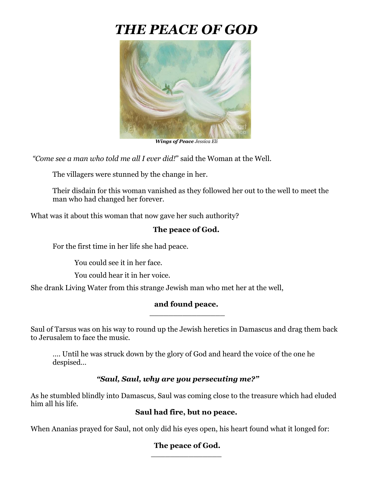# *THE PEACE OF GOD*



*Wings of Peace Jessica Eli*

*"Come see a man who told me all I ever did!*" said the Woman at the Well.

The villagers were stunned by the change in her.

Their disdain for this woman vanished as they followed her out to the well to meet the man who had changed her forever.

What was it about this woman that now gave her such authority?

## **The peace of God.**

For the first time in her life she had peace.

You could see it in her face.

You could hear it in her voice.

She drank Living Water from this strange Jewish man who met her at the well,

#### **and found peace.** \_\_\_\_\_\_\_\_\_\_\_\_\_\_\_\_

Saul of Tarsus was on his way to round up the Jewish heretics in Damascus and drag them back to Jerusalem to face the music.

…. Until he was struck down by the glory of God and heard the voice of the one he despised…

## *"Saul, Saul, why are you persecuting me?"*

As he stumbled blindly into Damascus, Saul was coming close to the treasure which had eluded him all his life.

## **Saul had fire, but no peace.**

When Ananias prayed for Saul, not only did his eyes open, his heart found what it longed for:

#### **The peace of God.** \_\_\_\_\_\_\_\_\_\_\_\_\_\_\_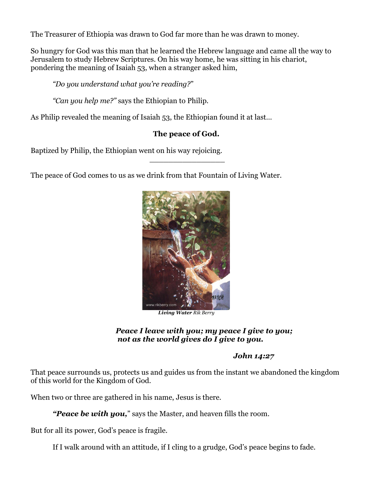The Treasurer of Ethiopia was drawn to God far more than he was drawn to money.

So hungry for God was this man that he learned the Hebrew language and came all the way to Jerusalem to study Hebrew Scriptures. On his way home, he was sitting in his chariot, pondering the meaning of Isaiah 53, when a stranger asked him,

*"Do you understand what you're reading?*"

*"Can you help me?"* says the Ethiopian to Philip.

As Philip revealed the meaning of Isaiah 53, the Ethiopian found it at last…

## **The peace of God.**

\_\_\_\_\_\_\_\_\_\_\_\_\_\_\_\_

Baptized by Philip, the Ethiopian went on his way rejoicing.

The peace of God comes to us as we drink from that Fountain of Living Water.



*Living Water Rik Berry*

#### *Peace I leave with you; my peace I give to you; not as the world gives do I give to you.*

## *John 14:27*

That peace surrounds us, protects us and guides us from the instant we abandoned the kingdom of this world for the Kingdom of God.

When two or three are gathered in his name, Jesus is there.

*"Peace be with you,*" says the Master, and heaven fills the room.

But for all its power, God's peace is fragile.

If I walk around with an attitude, if I cling to a grudge, God's peace begins to fade.